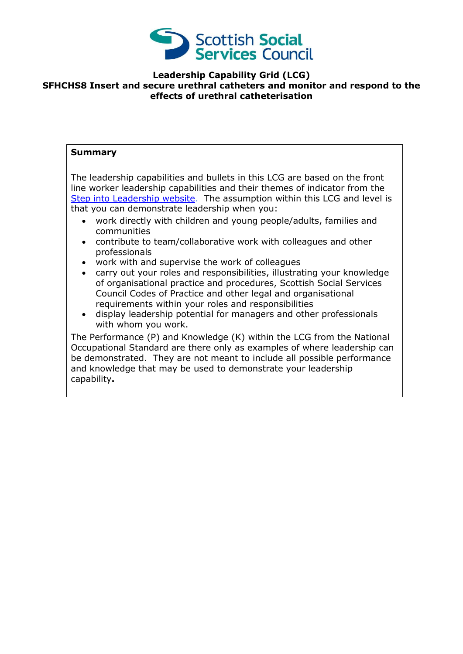

## **Leadership Capability Grid (LCG) SFHCHS8 Insert and secure urethral catheters and monitor and respond to the effects of urethral catheterisation**

## **Summary**

The leadership capabilities and bullets in this LCG are based on the front line worker leadership capabilities and their themes of indicator from the [Step into Leadership website.](http://www.stepintoleadership.info/) The assumption within this LCG and level is that you can demonstrate leadership when you:

- work directly with children and young people/adults, families and communities
- contribute to team/collaborative work with colleagues and other professionals
- work with and supervise the work of colleagues
- carry out your roles and responsibilities, illustrating your knowledge of organisational practice and procedures, Scottish Social Services Council Codes of Practice and other legal and organisational requirements within your roles and responsibilities
- display leadership potential for managers and other professionals with whom you work.

The Performance (P) and Knowledge (K) within the LCG from the National Occupational Standard are there only as examples of where leadership can be demonstrated. They are not meant to include all possible performance and knowledge that may be used to demonstrate your leadership capability**.**